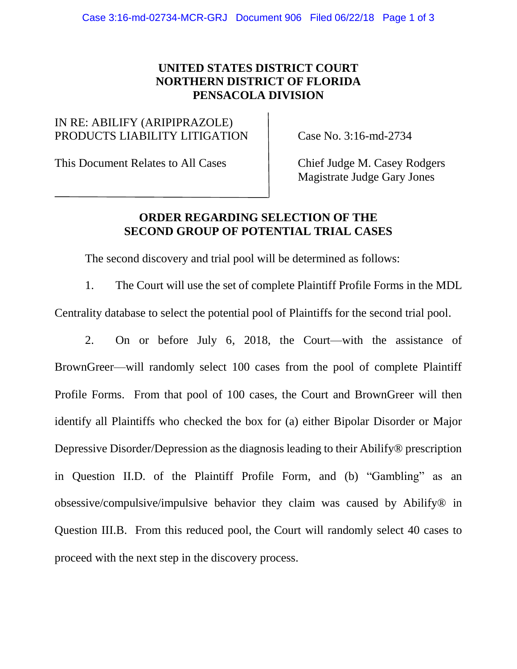## **UNITED STATES DISTRICT COURT NORTHERN DISTRICT OF FLORIDA PENSACOLA DIVISION**

## IN RE: ABILIFY (ARIPIPRAZOLE) PRODUCTS LIABILITY LITIGATION Case No. 3:16-md-2734

This Document Relates to All Cases Chief Judge M. Casey Rodgers

Magistrate Judge Gary Jones

## **ORDER REGARDING SELECTION OF THE SECOND GROUP OF POTENTIAL TRIAL CASES**

The second discovery and trial pool will be determined as follows:

1. The Court will use the set of complete Plaintiff Profile Forms in the MDL Centrality database to select the potential pool of Plaintiffs for the second trial pool.

2. On or before July 6, 2018, the Court—with the assistance of BrownGreer—will randomly select 100 cases from the pool of complete Plaintiff Profile Forms. From that pool of 100 cases, the Court and BrownGreer will then identify all Plaintiffs who checked the box for (a) either Bipolar Disorder or Major Depressive Disorder/Depression as the diagnosis leading to their Abilify® prescription in Question II.D. of the Plaintiff Profile Form, and (b) "Gambling" as an obsessive/compulsive/impulsive behavior they claim was caused by Abilify® in Question III.B. From this reduced pool, the Court will randomly select 40 cases to proceed with the next step in the discovery process.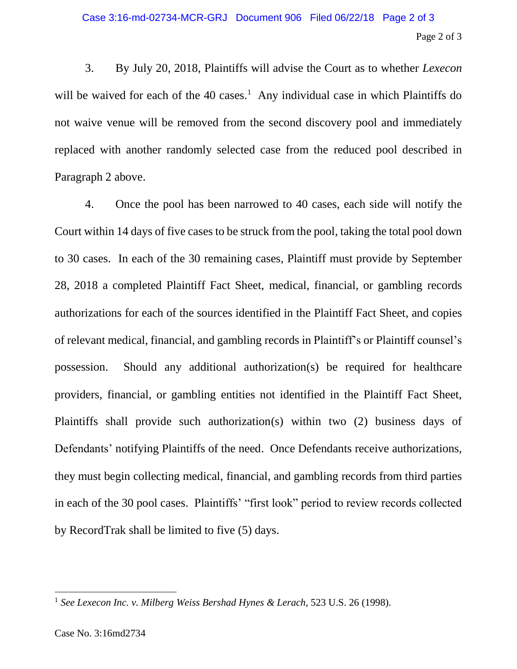3. By July 20, 2018, Plaintiffs will advise the Court as to whether *Lexecon* will be waived for each of the 40 cases.<sup>1</sup> Any individual case in which Plaintiffs do not waive venue will be removed from the second discovery pool and immediately replaced with another randomly selected case from the reduced pool described in Paragraph 2 above.

4. Once the pool has been narrowed to 40 cases, each side will notify the Court within 14 days of five cases to be struck from the pool, taking the total pool down to 30 cases. In each of the 30 remaining cases, Plaintiff must provide by September 28, 2018 a completed Plaintiff Fact Sheet, medical, financial, or gambling records authorizations for each of the sources identified in the Plaintiff Fact Sheet, and copies of relevant medical, financial, and gambling records in Plaintiff's or Plaintiff counsel's possession. Should any additional authorization(s) be required for healthcare providers, financial, or gambling entities not identified in the Plaintiff Fact Sheet, Plaintiffs shall provide such authorization(s) within two (2) business days of Defendants' notifying Plaintiffs of the need. Once Defendants receive authorizations, they must begin collecting medical, financial, and gambling records from third parties in each of the 30 pool cases. Plaintiffs' "first look" period to review records collected by RecordTrak shall be limited to five (5) days.

 $\overline{a}$ 

<sup>1</sup> *See Lexecon Inc. v. Milberg Weiss Bershad Hynes & Lerach*, 523 U.S. 26 (1998).